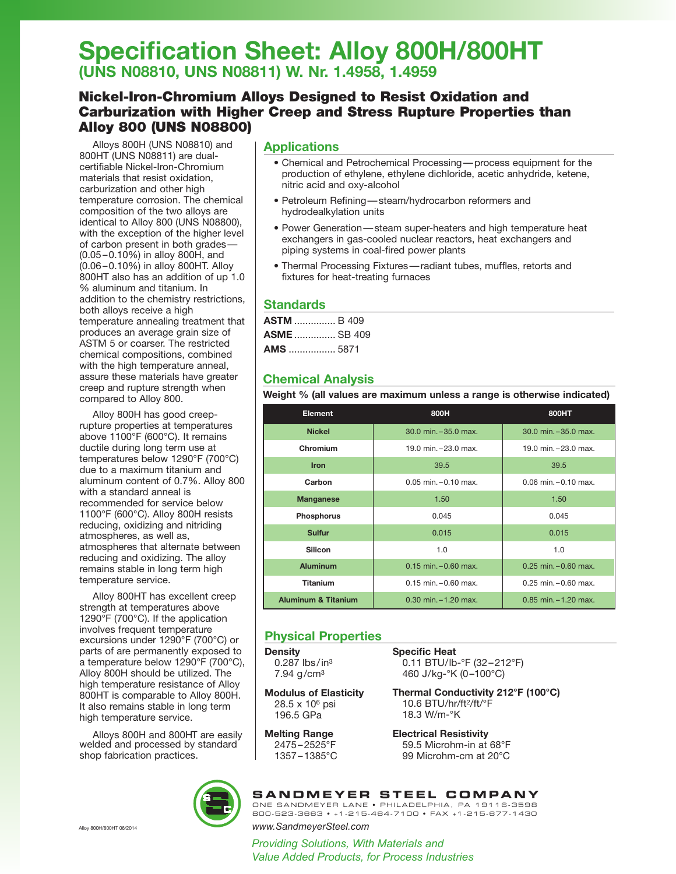# **Specification Sheet: Alloy 800H/800HT (UNS N08810, UNS N08811) W. Nr. 1.4958, 1.4959**

# Nickel-Iron-Chromium Alloys Designed to Resist Oxidation and Carburization with Higher Creep and Stress Rupture Properties than Alloy 800 (UNS N08800)

Alloys 800H (UNS N08810) and 800HT (UNS N08811) are dualcertifiable Nickel-Iron-Chromium materials that resist oxidation, carburization and other high temperature corrosion. The chemical composition of the two alloys are identical to Alloy 800 (UNS N08800), with the exception of the higher level of carbon present in both grades — (0.05 – 0.10%) in alloy 800H, and (0.06 – 0.10%) in alloy 800HT. Alloy 800HT also has an addition of up 1.0 % aluminum and titanium. In addition to the chemistry restrictions, both alloys receive a high temperature annealing treatment that produces an average grain size of ASTM 5 or coarser. The restricted chemical compositions, combined with the high temperature anneal, assure these materials have greater creep and rupture strength when compared to Alloy 800.

Alloy 800H has good creeprupture properties at temperatures above 1100°F (600°C). It remains ductile during long term use at temperatures below 1290°F (700°C) due to a maximum titanium and aluminum content of 0.7%. Alloy 800 with a standard anneal is recommended for service below 1100°F (600°C). Alloy 800H resists reducing, oxidizing and nitriding atmospheres, as well as, atmospheres that alternate between reducing and oxidizing. The alloy remains stable in long term high temperature service.

Alloy 800HT has excellent creep strength at temperatures above 1290°F (700°C). If the application involves frequent temperature excursions under 1290°F (700°C) or parts of are permanently exposed to a temperature below 1290°F (700°C), Alloy 800H should be utilized. The high temperature resistance of Alloy 800HT is comparable to Alloy 800H. It also remains stable in long term high temperature service.

Alloys 800H and 800HT are easily welded and processed by standard shop fabrication practices.

## **Applications**

- Chemical and Petrochemical Processing—process equipment for the production of ethylene, ethylene dichloride, acetic anhydride, ketene, nitric acid and oxy-alcohol
- Petroleum Refining—steam/hydrocarbon reformers and hydrodealkylation units
- Power Generation—steam super-heaters and high temperature heat exchangers in gas-cooled nuclear reactors, heat exchangers and piping systems in coal-fired power plants
- **in/in/°F** • Thermal Processing Fixtures—radiant tubes, muffles, retorts and fixtures for heat-treating furnaces

## **Standards**

| <b>ASTM</b> B 409  |  |
|--------------------|--|
| <b>ASME</b> SB 409 |  |
| <b>AMS</b> 5871    |  |

# **Chemical Analysis**

**Weight % (all values are maximum unless a range is otherwise indicated)**

| <b>Element</b>                                             | 800H                                                 | 800HT                    |  |  |
|------------------------------------------------------------|------------------------------------------------------|--------------------------|--|--|
| <b>Nickel</b>                                              | 30.0 min. - 35.0 max.                                | $30.0$ min. $-35.0$ max. |  |  |
| Chromium                                                   | 19.0 min. - 23.0 max.                                | 19.0 min. - 23.0 max.    |  |  |
| <b>Iron</b>                                                | 39.5                                                 | 39.5                     |  |  |
| Carbon                                                     | $0.05$ min. $-0.10$ max.<br>$0.06$ min. $-0.10$ max. |                          |  |  |
| <b>Manganese</b>                                           | 1.50                                                 | 1.50                     |  |  |
| <b>Phosphorus</b>                                          | 0.045                                                | 0.045                    |  |  |
| <b>Sulfur</b>                                              | 0.015                                                | 0.015                    |  |  |
| <b>Silicon</b>                                             | 1.0                                                  | 1.0                      |  |  |
| <b>Aluminum</b>                                            | $0.15$ min. $-0.60$ max.<br>$0.25$ min. $-0.60$ max. |                          |  |  |
| <b>Titanium</b>                                            | $0.15$ min. $-0.60$ max.<br>$0.25$ min. $-0.60$ max. |                          |  |  |
| <b>Aluminum &amp; Titanium</b><br>$0.30$ min. $-1.20$ max. |                                                      | $0.85$ min. $-1.20$ max. |  |  |

## **Physical Properties**

**Density**  $0.287$  lbs/in<sup>3</sup> 7.94 g/cm3

**Specific Heat** 0.11 BTU/lb-°F (32–212°F) 460 J/kg-°K (0–100°C)

**Modulus of Elasticity** 28.5 x 106 psi 196.5 GPa

**Melting Range** 2475–2525°F

1357–1385°C

**Thermal Conductivity 212°F (100°C)** 10.6 BTU/hr/ft2/ft/°F

18.3 W/m-°K

**Electrical Resistivity** 59.5 Microhm-in at 68°F 99 Microhm-cm at 20°C



**SANDMEYER STEEL COMPANY** ONE SANDMEYER LANE • PHILADELPHIA, PA 19116-3598

800-523-3663 • +1-215-464-7100 • FAX +1-215-677-1430

Alloy 800H/800HT 06/2014 *www.SandmeyerSteel.com*

*Providing Solutions, With Materials and Value Added Products, for Process Industries*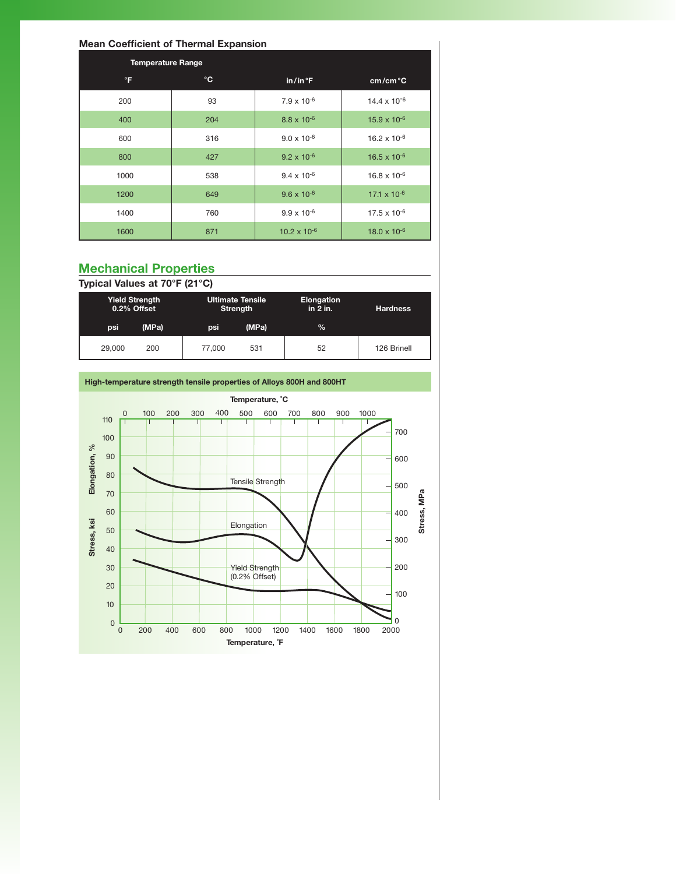### **Mean Coefficient of Thermal Expansion**

| <b>Temperature Range</b>         |              |                      |                         |  |  |  |
|----------------------------------|--------------|----------------------|-------------------------|--|--|--|
| $\mathsf{P}$                     | $\mathbf{C}$ | in/in <sup>°</sup> F | cm/cm <sup>o</sup> C    |  |  |  |
| 200                              | 93           | $7.9 \times 10^{-6}$ | 14.4 x 10 <sup>-6</sup> |  |  |  |
| 400                              | 204          | $8.8 \times 10^{-6}$ | $15.9 \times 10^{-6}$   |  |  |  |
| 600                              | 316          | $9.0 \times 10^{-6}$ | $16.2 \times 10^{-6}$   |  |  |  |
| 800                              | 427          | $9.2 \times 10^{-6}$ | $16.5 \times 10^{-6}$   |  |  |  |
| 1000                             | 538          | $9.4 \times 10^{-6}$ | $16.8 \times 10^{-6}$   |  |  |  |
| 1200                             | 649          | $9.6 \times 10^{-6}$ | $17.1 \times 10^{-6}$   |  |  |  |
| 1400                             | 760          | $9.9 \times 10^{-6}$ | $17.5 \times 10^{-6}$   |  |  |  |
| 1600                             | 871          |                      | $18.0 \times 10^{-6}$   |  |  |  |
|                                  |              |                      |                         |  |  |  |
| <b>Mechanical Properties</b><br> |              |                      |                         |  |  |  |

# **Mechanical Properties**

Typical Values at 70°F (21°C)

|        | <b>Yield Strength</b><br><b>Ultimate Tensile</b><br>0.2% Offset<br><b>Strength</b> |        |       | <b>Elongation</b><br>in $2$ in. | <b>Hardness</b> |  |
|--------|------------------------------------------------------------------------------------|--------|-------|---------------------------------|-----------------|--|
| psi    | (MPa)                                                                              | psi    | (MPa) | $\%$                            |                 |  |
| 29,000 | 200                                                                                | 77,000 | 531   | 52                              | 126 Brinell     |  |

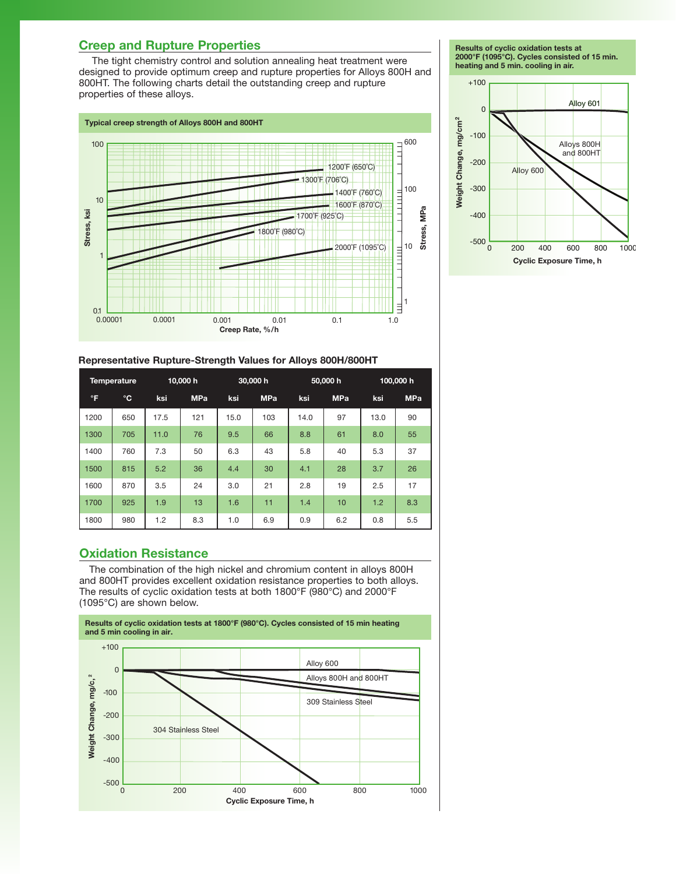# **Creep and Rupture Properties**

The tight chemistry control and solution annealing heat treatment were designed to provide optimum creep and rupture properties for Alloys 800H and 800HT. The following charts detail the outstanding creep and rupture properties of these alloys.



**Results of cyclic oxidation tests at 2000°F (1095°C). Cycles consisted of 15 min. heating and 5 min. cooling in air.**



#### **Representative Rupture-Strength Values for Alloys 800H/800HT**

| <b>Temperature</b> |              | 10,000 h |            | 30,000 h |            | 50,000 h |            | 100,000 h |            |
|--------------------|--------------|----------|------------|----------|------------|----------|------------|-----------|------------|
| $\mathsf{P}$       | $^{\circ}$ C | ksi      | <b>MPa</b> | ksi      | <b>MPa</b> | ksi      | <b>MPa</b> | ksi       | <b>MPa</b> |
| 1200               | 650          | 17.5     | 121        | 15.0     | 103        | 14.0     | 97         | 13.0      | 90         |
| 1300               | 705          | 11.0     | 76         | 9.5      | 66         | 8.8      | 61         | 8.0       | 55         |
| 1400               | 760          | 7.3      | 50         | 6.3      | 43         | 5.8      | 40         | 5.3       | 37         |
| 1500               | 815          | 5.2      | 36         | 4.4      | 30         | 4.1      | 28         | 3.7       | 26         |
| 1600               | 870          | 3.5      | 24         | 3.0      | 21         | 2.8      | 19         | 2.5       | 17         |
| 1700               | 925          | 1.9      | 13         | 1.6      | 11         | 1.4      | 10         | 1.2       | 8.3        |
| 1800               | 980          | 1.2      | 8.3        | 1.0      | 6.9        | 0.9      | 6.2        | 0.8       | 5.5        |

## **Oxidation Resistance**

The combination of the high nickel and chromium content in alloys 800H and 800HT provides excellent oxidation resistance properties to both alloys. The results of cyclic oxidation tests at both 1800°F (980°C) and 2000°F (1095°C) are shown below.